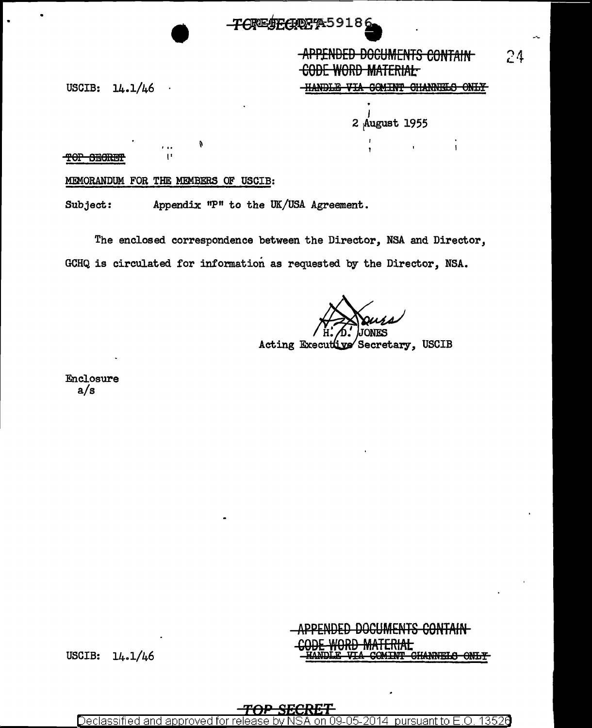## **TORESECROPAS918**

# **APPENDED DOCUMENTS CONTAIN CODE WORD MATERIAL-**

 $24$ 

VIA COMINT CHANNELS ONLY

 $\mathbf{I}$ 

2 August 1955

USCIB:  $14.1/46$ 

TOP SECRET

#### MEMORANDUM FOR THE MEMBERS OF USCIB:

Subject: Appendix "P" to the UK/USA Agreement.

The enclosed correspondence between the Director, NSA and Director, GCHQ is circulated for information as requested by the Director, NSA.

Acting Executive Secretary, USCIB

Enclosure  $a/s$ 

### <del>CONTAIN</del> **HERIAE** COMINT CHANNELS ONLY

USCIB:  $14.1/46$ 

Declassified and approved pursuant to F.O. 13526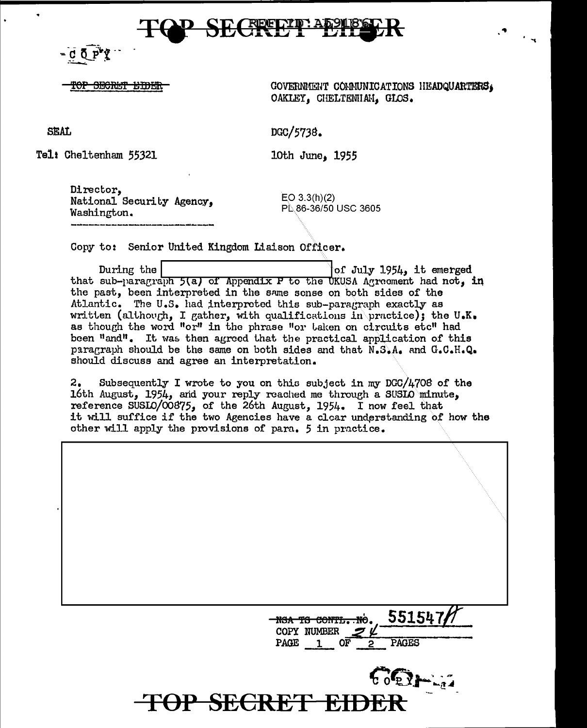# **一进行上**

 $C \nightharpoonup P'$ 

OP SECRET EIDER

GOVERNMENT COMMUNICATIONS HEADQUARTERS, OAKLEY, CHELTENHAH, GLOS.

**SEAL** 

DGC/5738.

Tel: Cheltenham 55321

1955 **Dune**, 1955

Director, National Security Agency, Washington.

 $EO$  3.3(h)(2) PL 86-36/50 USC 3605

Copy to: Senior United Kingdom Liaison Officer.

During the of July 1954, it emerged that sub-paragraph 5(a) of Appendix P to the UKUSA Agreement had not, in the past, been interpreted in the same sense on both sides of the Atlantic. The U.S. had interpreted this sub-paragraph exactly as written (although, I gather, with qualifications in practice); the U.K. as though the word "or" in the phrase "or taken on circuits etc" had been "and". It was then agreed that the practical application of this paragraph should be the same on both sides and that N.S.A. and G.C.H.Q. should discuss and agree an interpretation.

Subsequently I wrote to you on this subject in my DGC/4708 of the 2. 16th August, 1954, and your reply reached me through a SUSIO minute, reference SUSLO/00875, of the 26th August, 1954. I now feel that it will suffice if the two Agencies have a clear understanding of how the other will apply the provisions of para. 5 in practice.



 $562 - 7$ **TOP SECRET** iche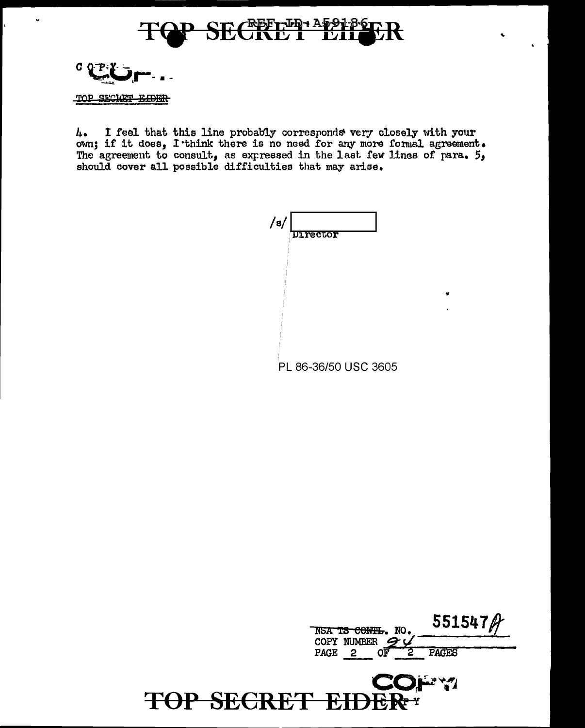



I feel that this line probably corresponds very closely with your 4. own; if it does, I think there is no need for any more formal agreement. The agreement to consult, as expressed in the last few lines of para. 5, should cover all possible difficulties that may arise.

| /s/ | <b>Director</b>      |
|-----|----------------------|
|     |                      |
|     |                      |
|     |                      |
|     | PL 86-36/50 USC 3605 |

|             | NSA TS CONTL. NO. | 551547 $\beta$     |
|-------------|-------------------|--------------------|
|             | COPY NUMBER 9     |                    |
| <b>PAGE</b> | $\mathbf{2}$      | <b>PAGES</b>       |
|             |                   | <b>COLLERATION</b> |

**NP Y** 

TOP SECRET EIDE